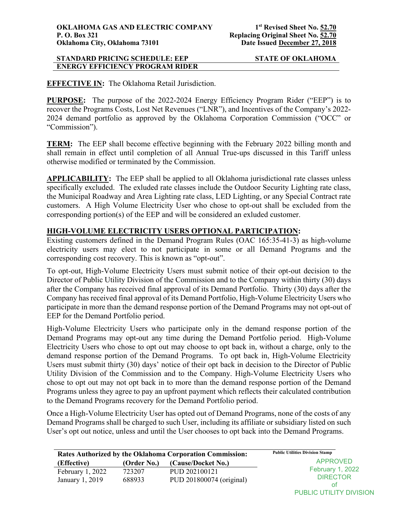# **EFFECTIVE IN:** The Oklahoma Retail Jurisdiction.

**PURPOSE:** The purpose of the 2022-2024 Energy Efficiency Program Rider ("EEP") is to recover the Programs Costs, Lost Net Revenues ("LNR"), and Incentives of the Company's 2022- 2024 demand portfolio as approved by the Oklahoma Corporation Commission ("OCC" or "Commission").

**TERM:** The EEP shall become effective beginning with the February 2022 billing month and shall remain in effect until completion of all Annual True-ups discussed in this Tariff unless otherwise modified or terminated by the Commission.

**APPLICABILITY:** The EEP shall be applied to all Oklahoma jurisdictional rate classes unless specifically excluded. The exluded rate classes include the Outdoor Security Lighting rate class, the Municipal Roadway and Area Lighting rate class, LED Lighting, or any Special Contract rate customers. A High Volume Electricity User who chose to opt-out shall be excluded from the corresponding portion(s) of the EEP and will be considered an exluded customer.

# **HIGH-VOLUME ELECTRICITY USERS OPTIONAL PARTICIPATION:**

Existing customers defined in the Demand Program Rules (OAC 165:35-41-3) as high-volume electricity users may elect to not participate in some or all Demand Programs and the corresponding cost recovery. This is known as "opt-out".

To opt-out, High-Volume Electricity Users must submit notice of their opt-out decision to the Director of Public Utility Division of the Commission and to the Company within thirty (30) days after the Company has received final approval of its Demand Portfolio. Thirty (30) days after the Company has received final approval of its Demand Portfolio, High-Volume Electricity Users who participate in more than the demand response portion of the Demand Programs may not opt-out of EEP for the Demand Portfolio period.

High-Volume Electricity Users who participate only in the demand response portion of the Demand Programs may opt-out any time during the Demand Portfolio period. High-Volume Electricity Users who chose to opt out may choose to opt back in, without a charge, only to the demand response portion of the Demand Programs. To opt back in, High-Volume Electricity Users must submit thirty (30) days' notice of their opt back in decision to the Director of Public Utility Division of the Commission and to the Company. High-Volume Electricity Users who chose to opt out may not opt back in to more than the demand response portion of the Demand Programs unless they agree to pay an upfront payment which reflects their calculated contribution to the Demand Programs recovery for the Demand Portfolio period.

Once a High-Volume Electricity User has opted out of Demand Programs, none of the costs of any Demand Programs shall be charged to such User, including its affiliate or subsidiary listed on such User's opt out notice, unless and until the User chooses to opt back into the Demand Programs.

| Rates Authorized by the Oklahoma Corporation Commission: |             |                          | <b>Public Utilities Division Stamp</b>     |
|----------------------------------------------------------|-------------|--------------------------|--------------------------------------------|
| (Effective)                                              | (Order No.) | (Cause/Docket No.)       | APPROVED                                   |
| February $1, 2022$                                       | 723207      | PUD 202100121            | <b>February 1, 2022</b><br><b>DIRECTOR</b> |
| January 1, 2019                                          | 688933      | PUD 201800074 (original) | 0t                                         |

PUBLIC UTILITY DIVISION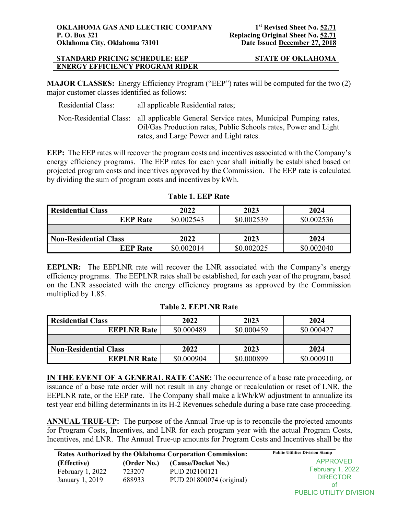**MAJOR CLASSES:** Energy Efficiency Program ("EEP") rates will be computed for the two (2) major customer classes identified as follows:

| Residential Class: | all applicable Residential rates;                                                                                                                        |
|--------------------|----------------------------------------------------------------------------------------------------------------------------------------------------------|
|                    | Non-Residential Class: all applicable General Service rates, Municipal Pumping rates,<br>Oil/Gas Production rates, Public Schools rates, Power and Light |
|                    | rates, and Large Power and Light rates.                                                                                                                  |

**EEP:** The EEP rates will recover the program costs and incentives associated with the Company's energy efficiency programs. The EEP rates for each year shall initially be established based on projected program costs and incentives approved by the Commission. The EEP rate is calculated by dividing the sum of program costs and incentives by kWh.

| <b>Residential Class</b>     | 2022       | 2023       | 2024       |
|------------------------------|------------|------------|------------|
| <b>EEP Rate</b>              | \$0.002543 | \$0.002539 | \$0.002536 |
|                              |            |            |            |
| <b>Non-Residential Class</b> | 2022       | 2023       | 2024       |
| <b>EEP Rate</b>              | \$0.002014 | \$0.002025 | \$0.002040 |

# **Table 1. EEP Rate**

**EEPLNR:** The EEPLNR rate will recover the LNR associated with the Company's energy efficiency programs. The EEPLNR rates shall be established, for each year of the program, based on the LNR associated with the energy efficiency programs as approved by the Commission multiplied by 1.85.

| <b>Residential Class</b>     | 2022       | 2023       | 2024       |
|------------------------------|------------|------------|------------|
| <b>EEPLNR Rate</b>           | \$0.000489 | \$0.000459 | \$0.000427 |
|                              |            |            |            |
| <b>Non-Residential Class</b> | 2022       | 2023       | 2024       |
| <b>EEPLNR Rate</b>           | \$0.000904 | \$0.000899 | \$0.000910 |

#### **Table 2. EEPLNR Rate**

**IN THE EVENT OF A GENERAL RATE CASE:** The occurrence of a base rate proceeding, or issuance of a base rate order will not result in any change or recalculation or reset of LNR, the EEPLNR rate, or the EEP rate. The Company shall make a kWh/kW adjustment to annualize its test year end billing determinants in its H-2 Revenues schedule during a base rate case proceeding.

**ANNUAL TRUE-UP:** The purpose of the Annual True-up is to reconcile the projected amounts for Program Costs, Incentives, and LNR for each program year with the actual Program Costs, Incentives, and LNR. The Annual True-up amounts for Program Costs and Incentives shall be the

| Rates Authorized by the Oklahoma Corporation Commission: |                  |                                           | <b>Public Utilities Division Stamp</b>           |
|----------------------------------------------------------|------------------|-------------------------------------------|--------------------------------------------------|
| (Effective)                                              | (Order No.)      | (Cause/Docket No.)                        | APPROVED                                         |
| February $1,2022$<br>January 1, 2019                     | 723207<br>688933 | PUD 202100121<br>PUD 201800074 (original) | <b>February 1, 2022</b><br><b>DIRECTOR</b><br>ΩŤ |

PUBLIC UTILITY DIVISION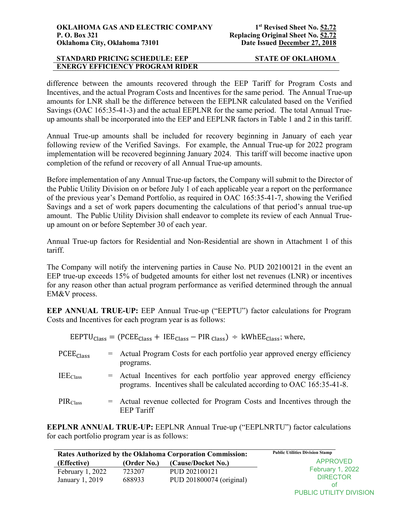difference between the amounts recovered through the EEP Tariff for Program Costs and Incentives, and the actual Program Costs and Incentives for the same period. The Annual True-up amounts for LNR shall be the difference between the EEPLNR calculated based on the Verified Savings (OAC 165:35-41-3) and the actual EEPLNR for the same period. The total Annual Trueup amounts shall be incorporated into the EEP and EEPLNR factors in Table 1 and 2 in this tariff.

Annual True-up amounts shall be included for recovery beginning in January of each year following review of the Verified Savings. For example, the Annual True-up for 2022 program implementation will be recovered beginning January 2024. This tariff will become inactive upon completion of the refund or recovery of all Annual True-up amounts.

Before implementation of any Annual True-up factors, the Company will submit to the Director of the Public Utility Division on or before July 1 of each applicable year a report on the performance of the previous year's Demand Portfolio, as required in OAC 165:35-41-7, showing the Verified Savings and a set of work papers documenting the calculations of that period's annual true-up amount. The Public Utility Division shall endeavor to complete its review of each Annual Trueup amount on or before September 30 of each year.

Annual True-up factors for Residential and Non-Residential are shown in Attachment 1 of this tariff.

The Company will notify the intervening parties in Cause No. PUD 202100121 in the event an EEP true-up exceeds 15% of budgeted amounts for either lost net revenues (LNR) or incentives for any reason other than actual program performance as verified determined through the annual EM&V process.

**EEP ANNUAL TRUE-UP:** EEP Annual True-up ("EEPTU") factor calculations for Program Costs and Incentives for each program year is as follows:

|                       | $\text{EEPTU}_{\text{Class}} = (\text{PCEE}_{\text{Class}} + \text{IEE}_{\text{Class}} - \text{PIR}_{\text{Class}}) \div \text{kWhEE}_{\text{Class}};$ where, |
|-----------------------|---------------------------------------------------------------------------------------------------------------------------------------------------------------|
| PCEE <sub>Class</sub> | = Actual Program Costs for each portfolio year approved energy efficiency<br>programs.                                                                        |
| <b>IEE</b> Class      | = Actual Incentives for each portfolio year approved energy efficiency<br>programs. Incentives shall be calculated according to OAC 165:35-41-8.              |
| PIR <sub>Class</sub>  | = Actual revenue collected for Program Costs and Incentives through the<br><b>EEP</b> Tariff                                                                  |

**EEPLNR ANNUAL TRUE-UP:** EEPLNR Annual True-up ("EEPLNRTU") factor calculations for each portfolio program year is as follows:

| <b>Rates Authorized by the Oklahoma Corporation Commission:</b> |                  |                                           | <b>Public Utilities Division Stamp</b>           |
|-----------------------------------------------------------------|------------------|-------------------------------------------|--------------------------------------------------|
| (Effective)                                                     | (Order No.)      | (Cause/Docket No.)                        | <b>APPROVED</b>                                  |
| February $1,2022$<br>January 1, 2019                            | 723207<br>688933 | PUD 202100121<br>PUD 201800074 (original) | <b>February 1, 2022</b><br><b>DIRECTOR</b><br>nt |
|                                                                 |                  |                                           | <b>PUBLIC UTILITY DIVISION</b>                   |